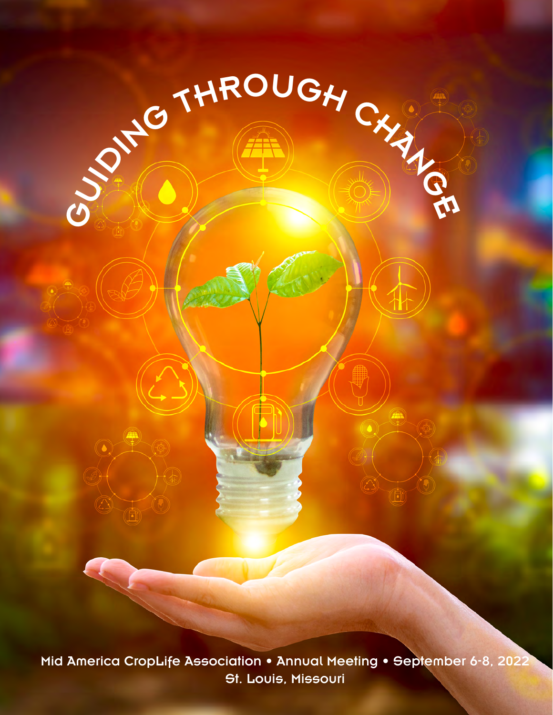

GING THROUGH CHANGE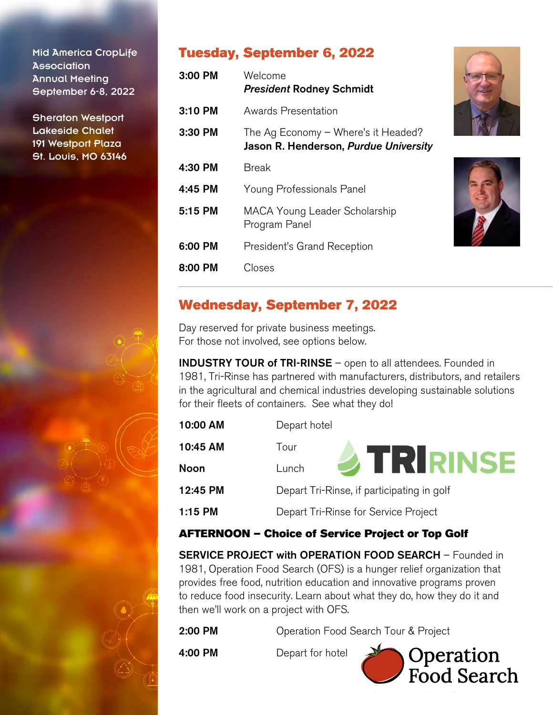Mid America CropLife **Association** Annual Meeting September 6-8, 2022

Sheraton Westport Lakeside Chalet 191 Westport Plaza St. Louis, MO 63146

#### Tuesday, September 6, 2022

| 3:00 PM   | Welcome<br><b>President Rodney Schmidt</b>                                   |
|-----------|------------------------------------------------------------------------------|
| $3:10$ PM | Awards Presentation                                                          |
| $3:30$ PM | The Ag Economy - Where's it Headed?<br>Jason R. Henderson, Purdue University |
| 4:30 PM   | Break                                                                        |
| 4:45 PM   | Young Professionals Panel                                                    |
| 5:15 PM   | MACA Young Leader Scholarship<br>Program Panel                               |
| 6:00 PM   | President's Grand Reception                                                  |
| 8:00 PM   | Closes                                                                       |





#### Wednesday, September 7, 2022

Day reserved for private business meetings. For those not involved, see options below.

INDUSTRY TOUR of TRI-RINSE – open to all attendees. Founded in 1981, Tri-Rinse has partnered with manufacturers, distributors, and retailers in the agricultural and chemical industries developing sustainable solutions for their fleets of containers. See what they do!

| 10:00 AM | Depart hotel                               |
|----------|--------------------------------------------|
| 10:45 AM | Tour                                       |
| Noon     | <b>STRIRINSE</b><br>Lunch                  |
| 12:45 PM | Depart Tri-Rinse, if participating in golf |
| 1:15 PM  | Depart Tri-Rinse for Service Project       |
|          |                                            |

#### AFTERNOON – Choice of Service Project or Top Golf

SERVICE PROJECT with OPERATION FOOD SEARCH – Founded in 1981, Operation Food Search (OFS) is a hunger relief organization that provides free food, nutrition education and innovative programs proven to reduce food insecurity. Learn about what they do, how they do it and then we'll work on a project with OFS.

**2:00 PM** Operation Food Search Tour & Project

4:00 PM Depart for hotel

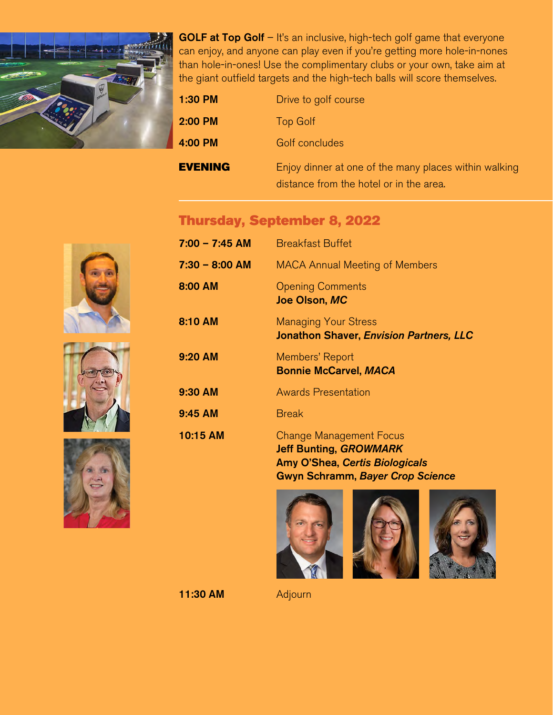

GOLF at Top Golf - It's an inclusive, high-tech golf game that everyone can enjoy, and anyone can play even if you're getting more hole-in-nones than hole-in-ones! Use the complimentary clubs or your own, take aim at the giant outfield targets and the high-tech balls will score themselves.

| 1:30 PM        | Drive to golf course                                                                             |
|----------------|--------------------------------------------------------------------------------------------------|
| 2:00 PM        | Top Golf                                                                                         |
| 4:00 PM        | Golf concludes                                                                                   |
| <b>EVENING</b> | Enjoy dinner at one of the many places within walking<br>distance from the hotel or in the area. |

#### Thursday, September 8, 2022

| $7:00 - 7:45$ AM | <b>Breakfast Buffet</b>                                                                           |
|------------------|---------------------------------------------------------------------------------------------------|
| $7:30 - 8:00$ AM | <b>MACA Annual Meeting of Members</b>                                                             |
| 8:00 AM          | <b>Opening Comments</b><br>Joe Olson, MC                                                          |
| 8:10 AM          | <b>Managing Your Stress</b><br><b>Jonathon Shaver, Envision Partners, LLC</b>                     |
| 9:20 AM          | Members' Report<br><b>Bonnie McCarvel, MACA</b>                                                   |
| $9:30$ AM        | <b>Awards Presentation</b>                                                                        |
| 9:45 AM          | <b>Break</b>                                                                                      |
| 10:15 AM         | <b>Change Management Focus</b><br>Jeff Bunting, GROWMARK<br><b>Amy O'Shea, Certis Biologicals</b> |

Gwyn Schramm, *Bayer Crop Science*





11:30 AM Adjourn





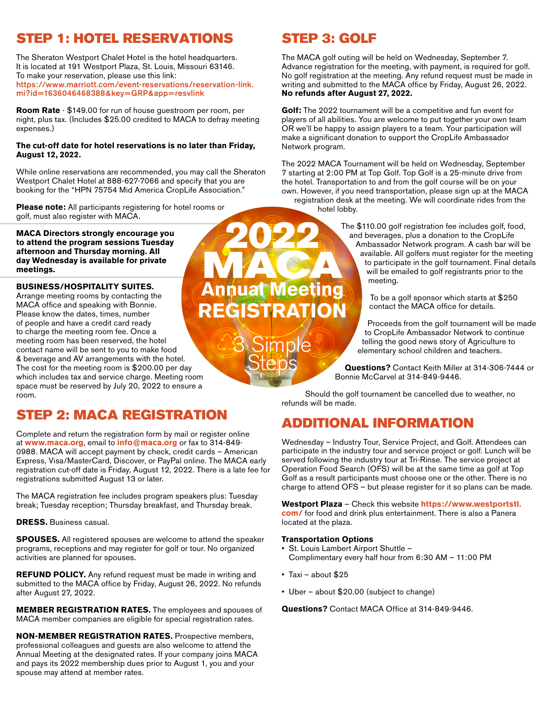### STEP 1: HOTEL RESERVATIONS

The Sheraton Westport Chalet Hotel is the hotel headquarters. It is located at 191 Westport Plaza, St. Louis, Missouri 63146. To make your reservation, please use this link: [https://www.marriott.com/event-reservations/reservation-link.](https://www.marriott.com/event-reservations/reservation-link.mi?id=1636046468388&key=GRP&app=resvlink)

[mi?id=1636046468388&key=GRP&app=resvlink](https://www.marriott.com/event-reservations/reservation-link.mi?id=1636046468388&key=GRP&app=resvlink)

**Room Rate** - \$149.00 for run of house guestroom per room, per night, plus tax. (Includes \$25.00 credited to MACA to defray meeting expenses.)

#### **The cut-off date for hotel reservations is no later than Friday, August 12, 2022.**

While online reservations are recommended, you may call the Sheraton Westport Chalet Hotel at 888-627-7066 and specify that you are booking for the "HPN 75754 Mid America CropLife Association."

**Please note:** All participants registering for hotel rooms or golf, must also register with MACA.

#### **MACA Directors strongly encourage you to attend the program sessions Tuesday afternoon and Thursday morning. All day Wednesday is available for private meetings.**

**BUSINESS/HOSPITALITY SUITES.** Arrange meeting rooms by contacting the MACA office and speaking with Bonnie. Please know the dates, times, number of people and have a credit card ready to charge the meeting room fee. Once a meeting room has been reserved, the hotel contact name will be sent to you to make food & beverage and AV arrangements with the hotel. The cost for the meeting room is \$200.00 per day which includes tax and service charge. Meeting room space must be reserved by July 20, 2022 to ensure a room. **REGISTRATION**

### STEP 2: MACA REGISTRATION

Complete and return the registration form by mail or register online at **[www.maca.org](http://www.maca.org/)**, email to **[info@maca.org](mailto:info%40maca.org?subject=)** or fax to 314-849- 0988. MACA will accept payment by check, credit cards – American Express, Visa/MasterCard, Discover, or PayPal online. The MACA early registration cut-off date is Friday, August 12, 2022. There is a late fee for registrations submitted August 13 or later.

The MACA registration fee includes program speakers plus: Tuesday break; Tuesday reception; Thursday breakfast, and Thursday break.

**DRESS.** Business casual.

**SPOUSES.** All registered spouses are welcome to attend the speaker programs, receptions and may register for golf or tour. No organized activities are planned for spouses.

**REFUND POLICY.** Any refund request must be made in writing and submitted to the MACA office by Friday, August 26, 2022. No refunds after August 27, 2022.

**MEMBER REGISTRATION RATES.** The employees and spouses of MACA member companies are eligible for special registration rates.

**NON-MEMBER REGISTRATION RATES.** Prospective members, professional colleagues and guests are also welcome to attend the Annual Meeting at the designated rates. If your company joins MACA and pays its 2022 membership dues prior to August 1, you and your spouse may attend at member rates.

## STEP 3: GOLF

2022

**MACA**

**Annual Meeting**

3 Simple

**Step's** 

The MACA golf outing will be held on Wednesday, September 7. Advance registration for the meeting, with payment, is required for golf. No golf registration at the meeting. Any refund request must be made in writing and submitted to the MACA office by Friday, August 26, 2022. **No refunds after August 27, 2022.**

**Golf:** The 2022 tournament will be a competitive and fun event for players of all abilities. You are welcome to put together your own team OR we'll be happy to assign players to a team. Your participation will make a significant donation to support the CropLife Ambassador Network program.

The 2022 MACA Tournament will be held on Wednesday, September 7 starting at 2:00 PM at Top Golf. Top Golf is a 25-minute drive from the hotel. Transportation to and from the golf course will be on your own. However, if you need transportation, please sign up at the MACA

registration desk at the meeting. We will coordinate rides from the hotel lobby.

> The \$110.00 golf registration fee includes golf, food, and beverages, plus a donation to the CropLife Ambassador Network program. A cash bar will be available. All golfers must register for the meeting to participate in the golf tournament. Final details will be emailed to golf registrants prior to the meeting.

> > To be a golf sponsor which starts at \$250 contact the MACA office for details.

Proceeds from the golf tournament will be made to CropLife Ambassador Network to continue telling the good news story of Agriculture to elementary school children and teachers.

**Questions?** Contact Keith Miller at 314-306-7444 or Bonnie McCarvel at 314-849-9446.

Should the golf tournament be cancelled due to weather, no refunds will be made.

## ADDITIONAL INFORMATION

Wednesday – Industry Tour, Service Project, and Golf. Attendees can participate in the industry tour and service project or golf. Lunch will be served following the industry tour at Tri-Rinse. The service project at Operation Food Search (OFS) will be at the same time as golf at Top Golf as a result participants must choose one or the other. There is no charge to attend OFS – but please register for it so plans can be made.

**Westport Plaza** – Check this website **[https://www.westportstl.](https://www.westportstl.com/) [com/](https://www.westportstl.com/)** for food and drink plus entertainment. There is also a Panera located at the plaza.

#### **Transportation Options**

- St. Louis Lambert Airport Shuttle Complimentary every half hour from 6:30 AM – 11:00 PM
- Taxi about \$25
- Uber about \$20.00 (subject to change)

**Questions?** Contact MACA Office at 314-849-9446.